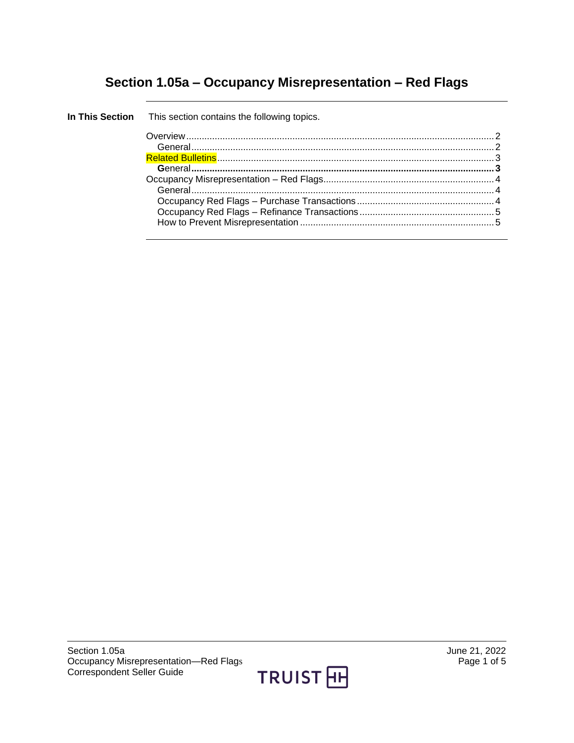# **Section 1.05a – Occupancy Misrepresentation – Red Flags**

| In This Section This section contains the following topics. |  |
|-------------------------------------------------------------|--|
|                                                             |  |
|                                                             |  |
|                                                             |  |
|                                                             |  |
|                                                             |  |
| General 4                                                   |  |
|                                                             |  |
|                                                             |  |
|                                                             |  |
|                                                             |  |

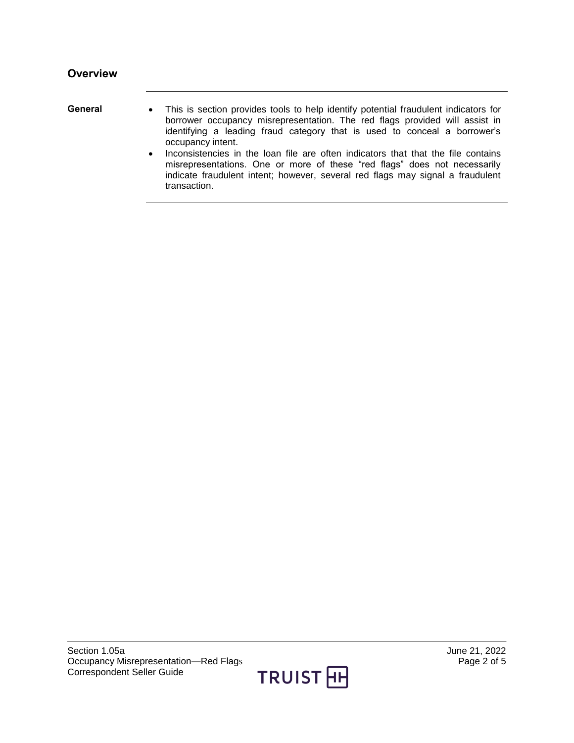- <span id="page-1-1"></span><span id="page-1-0"></span>General • This is section provides tools to help identify potential fraudulent indicators for borrower occupancy misrepresentation. The red flags provided will assist in identifying a leading fraud category that is used to conceal a borrower's occupancy intent.
	- Inconsistencies in the loan file are often indicators that that the file contains misrepresentations. One or more of these "red flags" does not necessarily indicate fraudulent intent; however, several red flags may signal a fraudulent transaction.

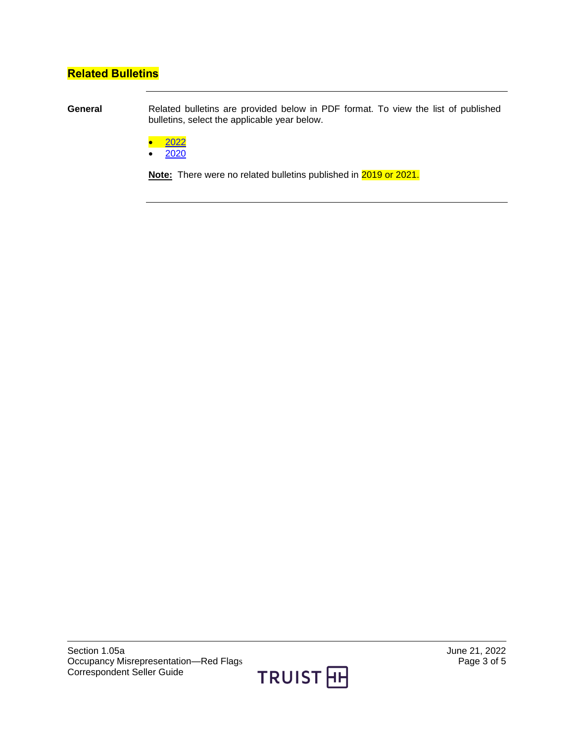## <span id="page-2-0"></span>**Related Bulletins**

<span id="page-2-1"></span>**General** Related bulletins are provided below in PDF format. To view the list of published bulletins, select the applicable year below.

- [2022](https://truistsellerguide.com/manual/cor/bulletins/Related%20Bulletins/2022/COccupancyRedFlags2022.pdf)
- $\bullet$  [2020](https://truistsellerguide.com/manual/cor/bulletins/Related%20Bulletins/2020/COccupancyRedFlags2020.pdf)

**Note:** There were no related bulletins published in 2019 or 2021.

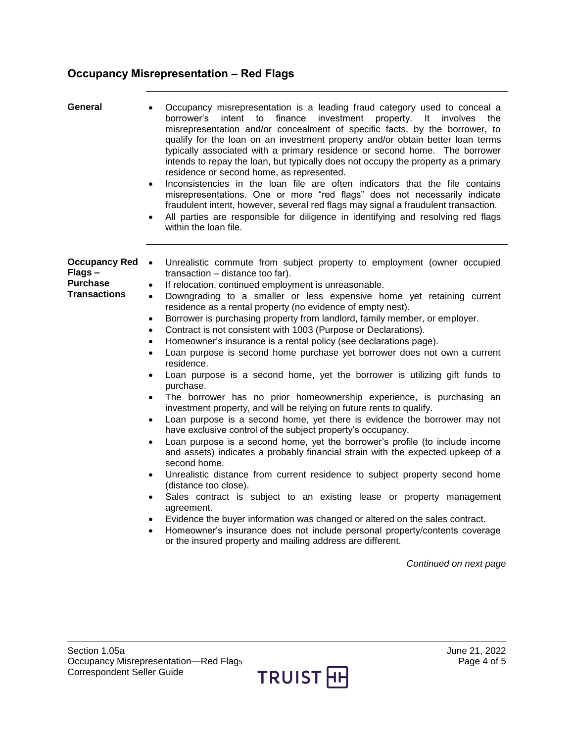## <span id="page-3-0"></span>**Occupancy Misrepresentation – Red Flags**

<span id="page-3-2"></span><span id="page-3-1"></span>

| General                                                                  | Occupancy misrepresentation is a leading fraud category used to conceal a<br>finance<br>investment<br>property. It involves<br>borrower's<br>intent to<br>the<br>misrepresentation and/or concealment of specific facts, by the borrower, to<br>qualify for the loan on an investment property and/or obtain better loan terms<br>typically associated with a primary residence or second home. The borrower<br>intends to repay the loan, but typically does not occupy the property as a primary<br>residence or second home, as represented.<br>Inconsistencies in the loan file are often indicators that the file contains<br>$\bullet$<br>misrepresentations. One or more "red flags" does not necessarily indicate<br>fraudulent intent, however, several red flags may signal a fraudulent transaction.<br>All parties are responsible for diligence in identifying and resolving red flags<br>$\bullet$<br>within the loan file.                                                                                                                                                                                                                                                                                                                                                                                                                                                                                                                                                                                                                                                                                                                                                                                                                                                                                   |
|--------------------------------------------------------------------------|-----------------------------------------------------------------------------------------------------------------------------------------------------------------------------------------------------------------------------------------------------------------------------------------------------------------------------------------------------------------------------------------------------------------------------------------------------------------------------------------------------------------------------------------------------------------------------------------------------------------------------------------------------------------------------------------------------------------------------------------------------------------------------------------------------------------------------------------------------------------------------------------------------------------------------------------------------------------------------------------------------------------------------------------------------------------------------------------------------------------------------------------------------------------------------------------------------------------------------------------------------------------------------------------------------------------------------------------------------------------------------------------------------------------------------------------------------------------------------------------------------------------------------------------------------------------------------------------------------------------------------------------------------------------------------------------------------------------------------------------------------------------------------------------------------------------------------|
| <b>Occupancy Red</b><br>Flags-<br><b>Purchase</b><br><b>Transactions</b> | Unrealistic commute from subject property to employment (owner occupied<br>$\bullet$<br>transaction - distance too far).<br>If relocation, continued employment is unreasonable.<br>$\bullet$<br>Downgrading to a smaller or less expensive home yet retaining current<br>$\bullet$<br>residence as a rental property (no evidence of empty nest).<br>Borrower is purchasing property from landlord, family member, or employer.<br>٠<br>Contract is not consistent with 1003 (Purpose or Declarations).<br>Homeowner's insurance is a rental policy (see declarations page).<br>$\bullet$<br>Loan purpose is second home purchase yet borrower does not own a current<br>$\bullet$<br>residence.<br>Loan purpose is a second home, yet the borrower is utilizing gift funds to<br>$\bullet$<br>purchase.<br>The borrower has no prior homeownership experience, is purchasing an<br>$\bullet$<br>investment property, and will be relying on future rents to qualify.<br>Loan purpose is a second home, yet there is evidence the borrower may not<br>$\bullet$<br>have exclusive control of the subject property's occupancy.<br>Loan purpose is a second home, yet the borrower's profile (to include income<br>$\bullet$<br>and assets) indicates a probably financial strain with the expected upkeep of a<br>second home.<br>Unrealistic distance from current residence to subject property second home<br>$\bullet$<br>(distance too close).<br>Sales contract is subject to an existing lease or property management<br>agreement.<br>Evidence the buyer information was changed or altered on the sales contract.<br>$\bullet$<br>Homeowner's insurance does not include personal property/contents coverage<br>$\bullet$<br>or the insured property and mailing address are different.<br>Continued on next page |

TRUIST<sub>E</sub>